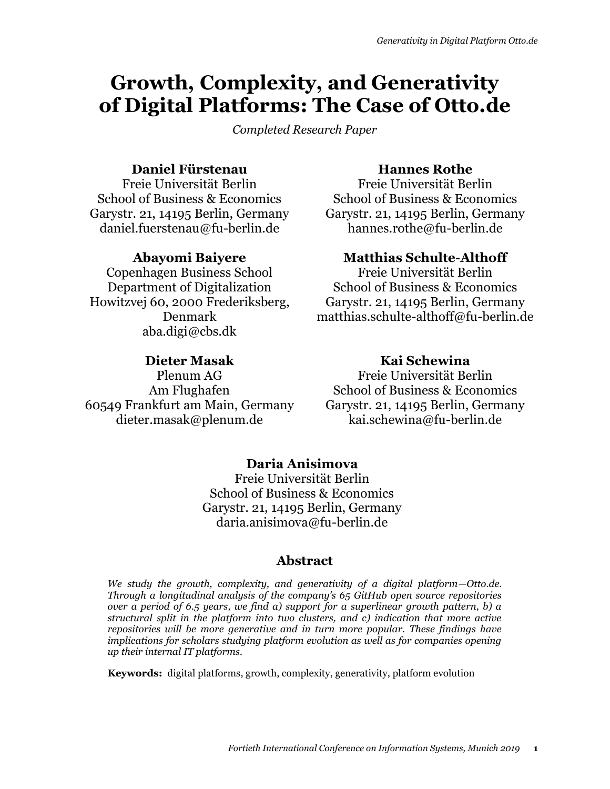# **Growth, Complexity, and Generativity of Digital Platforms: The Case of Otto.de**

*Completed Research Paper*

## **Daniel Fürstenau**

Freie Universität Berlin School of Business & Economics Garystr. 21, 14195 Berlin, Germany daniel.fuerstenau@fu-berlin.de

## **Abayomi Baiyere**

Copenhagen Business School Department of Digitalization Howitzvej 60, 2000 Frederiksberg, Denmark aba.digi@cbs.dk

## **Dieter Masak**

Plenum AG Am Flughafen 60549 Frankfurt am Main, Germany dieter.masak@plenum.de

## **Hannes Rothe**

Freie Universität Berlin School of Business & Economics Garystr. 21, 14195 Berlin, Germany hannes.rothe@fu-berlin.de

## **Matthias Schulte-Althoff**

Freie Universität Berlin School of Business & Economics Garystr. 21, 14195 Berlin, Germany matthias.schulte-althoff@fu-berlin.de

## **Kai Schewina**

Freie Universität Berlin School of Business & Economics Garystr. 21, 14195 Berlin, Germany kai.schewina@fu-berlin.de

## **Daria Anisimova**

Freie Universität Berlin School of Business & Economics Garystr. 21, 14195 Berlin, Germany daria.anisimova@fu-berlin.de

## **Abstract**

*We study the growth, complexity, and generativity of a digital platform—Otto.de. Through a longitudinal analysis of the company's 65 GitHub open source repositories over a period of 6.5 years, we find a) support for a superlinear growth pattern, b) a structural split in the platform into two clusters, and c) indication that more active repositories will be more generative and in turn more popular. These findings have implications for scholars studying platform evolution as well as for companies opening up their internal IT platforms.*

**Keywords:** digital platforms, growth, complexity, generativity, platform evolution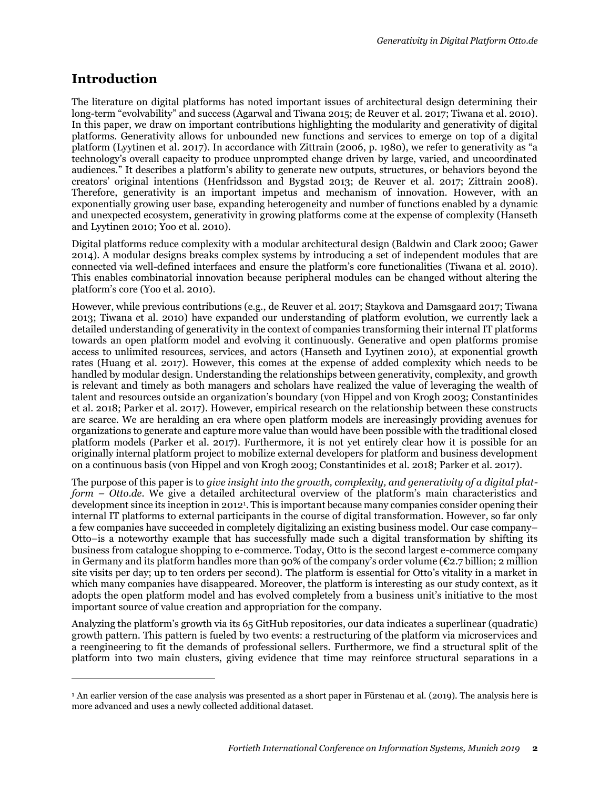## **Introduction**

 $\overline{a}$ 

The literature on digital platforms has noted important issues of architectural design determining their long-term "evolvability" and success (Agarwal and Tiwana 2015; de Reuver et al. 2017; Tiwana et al. 2010). In this paper, we draw on important contributions highlighting the modularity and generativity of digital platforms. Generativity allows for unbounded new functions and services to emerge on top of a digital platform (Lyytinen et al. 2017). In accordance with Zittrain (2006, p. 1980), we refer to generativity as "a technology's overall capacity to produce unprompted change driven by large, varied, and uncoordinated audiences." It describes a platform's ability to generate new outputs, structures, or behaviors beyond the creators' original intentions (Henfridsson and Bygstad 2013; de Reuver et al. 2017; Zittrain 2008). Therefore, generativity is an important impetus and mechanism of innovation. However, with an exponentially growing user base, expanding heterogeneity and number of functions enabled by a dynamic and unexpected ecosystem, generativity in growing platforms come at the expense of complexity (Hanseth and Lyytinen 2010; Yoo et al. 2010).

Digital platforms reduce complexity with a modular architectural design (Baldwin and Clark 2000; Gawer 2014). A modular designs breaks complex systems by introducing a set of independent modules that are connected via well-defined interfaces and ensure the platform's core functionalities (Tiwana et al. 2010). This enables combinatorial innovation because peripheral modules can be changed without altering the platform's core (Yoo et al. 2010).

However, while previous contributions (e.g., de Reuver et al. 2017; Staykova and Damsgaard 2017; Tiwana 2013; Tiwana et al. 2010) have expanded our understanding of platform evolution, we currently lack a detailed understanding of generativity in the context of companies transforming their internal IT platforms towards an open platform model and evolving it continuously. Generative and open platforms promise access to unlimited resources, services, and actors (Hanseth and Lyytinen 2010), at exponential growth rates (Huang et al. 2017). However, this comes at the expense of added complexity which needs to be handled by modular design. Understanding the relationships between generativity, complexity, and growth is relevant and timely as both managers and scholars have realized the value of leveraging the wealth of talent and resources outside an organization's boundary (von Hippel and von Krogh 2003; Constantinides et al. 2018; Parker et al. 2017). However, empirical research on the relationship between these constructs are scarce. We are heralding an era where open platform models are increasingly providing avenues for organizations to generate and capture more value than would have been possible with the traditional closed platform models (Parker et al. 2017). Furthermore, it is not yet entirely clear how it is possible for an originally internal platform project to mobilize external developers for platform and business development on a continuous basis (von Hippel and von Krogh 2003; Constantinides et al. 2018; Parker et al. 2017).

The purpose of this paper is to *give insight into the growth, complexity, and generativity of a digital platform – Otto.de*. We give a detailed architectural overview of the platform's main characteristics and development since its inception in 2012<sup>1</sup> . This is important because many companies consider opening their internal IT platforms to external participants in the course of digital transformation. However, so far only a few companies have succeeded in completely digitalizing an existing business model. Our case company– Otto–is a noteworthy example that has successfully made such a digital transformation by shifting its business from catalogue shopping to e-commerce. Today, Otto is the second largest e-commerce company in Germany and its platform handles more than 90% of the company's order volume ( $\epsilon$ 2.7 billion; 2 million site visits per day; up to ten orders per second). The platform is essential for Otto's vitality in a market in which many companies have disappeared. Moreover, the platform is interesting as our study context, as it adopts the open platform model and has evolved completely from a business unit's initiative to the most important source of value creation and appropriation for the company.

Analyzing the platform's growth via its 65 GitHub repositories, our data indicates a superlinear (quadratic) growth pattern. This pattern is fueled by two events: a restructuring of the platform via microservices and a reengineering to fit the demands of professional sellers. Furthermore, we find a structural split of the platform into two main clusters, giving evidence that time may reinforce structural separations in a

<sup>&</sup>lt;sup>1</sup> An earlier version of the case analysis was presented as a short paper in Fürstenau et al. (2019). The analysis here is more advanced and uses a newly collected additional dataset.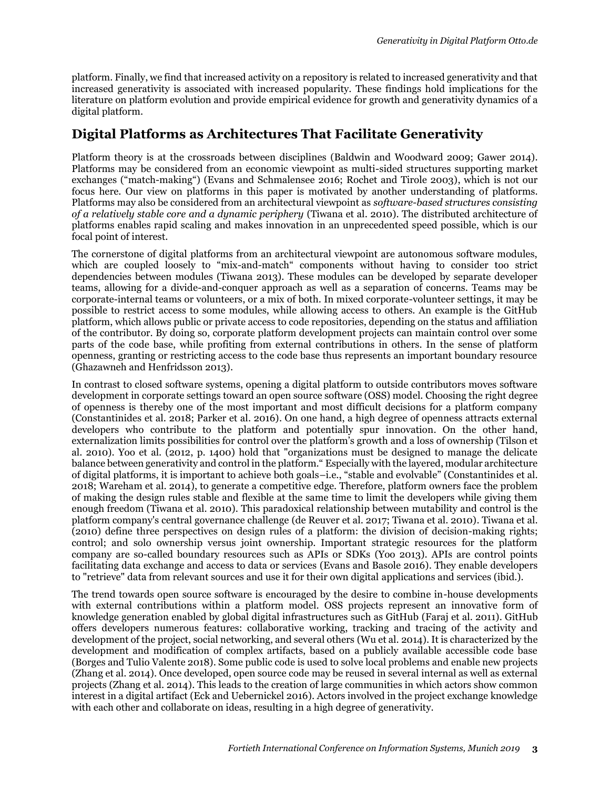platform. Finally, we find that increased activity on a repository is related to increased generativity and that increased generativity is associated with increased popularity. These findings hold implications for the literature on platform evolution and provide empirical evidence for growth and generativity dynamics of a digital platform.

## **Digital Platforms as Architectures That Facilitate Generativity**

Platform theory is at the crossroads between disciplines (Baldwin and Woodward 2009; Gawer 2014). Platforms may be considered from an economic viewpoint as multi-sided structures supporting market exchanges ("match-making") (Evans and Schmalensee 2016; Rochet and Tirole 2003), which is not our focus here. Our view on platforms in this paper is motivated by another understanding of platforms. Platforms may also be considered from an architectural viewpoint as *software-based structures consisting of a relatively stable core and a dynamic periphery* (Tiwana et al. 2010). The distributed architecture of platforms enables rapid scaling and makes innovation in an unprecedented speed possible, which is our focal point of interest.

The cornerstone of digital platforms from an architectural viewpoint are autonomous software modules, which are coupled loosely to "mix-and-match" components without having to consider too strict dependencies between modules (Tiwana 2013). These modules can be developed by separate developer teams, allowing for a divide-and-conquer approach as well as a separation of concerns. Teams may be corporate-internal teams or volunteers, or a mix of both. In mixed corporate-volunteer settings, it may be possible to restrict access to some modules, while allowing access to others. An example is the GitHub platform, which allows public or private access to code repositories, depending on the status and affiliation of the contributor. By doing so, corporate platform development projects can maintain control over some parts of the code base, while profiting from external contributions in others. In the sense of platform openness, granting or restricting access to the code base thus represents an important boundary resource (Ghazawneh and Henfridsson 2013).

In contrast to closed software systems, opening a digital platform to outside contributors moves software development in corporate settings toward an open source software (OSS) model. Choosing the right degree of openness is thereby one of the most important and most difficult decisions for a platform company (Constantinides et al. 2018; Parker et al. 2016). On one hand, a high degree of openness attracts external developers who contribute to the platform and potentially spur innovation. On the other hand, externalization limits possibilities for control over the platform's growth and a loss of ownership (Tilson et al. 2010). Yoo et al. (2012, p. 1400) hold that "organizations must be designed to manage the delicate balance between generativity and control in the platform." Especially with the layered, modular architecture of digital platforms, it is important to achieve both goals–i.e., "stable and evolvable" (Constantinides et al. 2018; Wareham et al. 2014), to generate a competitive edge. Therefore, platform owners face the problem of making the design rules stable and flexible at the same time to limit the developers while giving them enough freedom (Tiwana et al. 2010). This paradoxical relationship between mutability and control is the platform company's central governance challenge (de Reuver et al. 2017; Tiwana et al. 2010). Tiwana et al. (2010) define three perspectives on design rules of a platform: the division of decision-making rights; control; and solo ownership versus joint ownership. Important strategic resources for the platform company are so-called boundary resources such as APIs or SDKs (Yoo 2013). APIs are control points facilitating data exchange and access to data or services (Evans and Basole 2016). They enable developers to "retrieve" data from relevant sources and use it for their own digital applications and services (ibid.).

The trend towards open source software is encouraged by the desire to combine in-house developments with external contributions within a platform model. OSS projects represent an innovative form of knowledge generation enabled by global digital infrastructures such as GitHub (Faraj et al. 2011). GitHub offers developers numerous features: collaborative working, tracking and tracing of the activity and development of the project, social networking, and several others (Wu et al. 2014). It is characterized by the development and modification of complex artifacts, based on a publicly available accessible code base (Borges and Tulio Valente 2018). Some public code is used to solve local problems and enable new projects (Zhang et al. 2014). Once developed, open source code may be reused in several internal as well as external projects (Zhang et al. 2014). This leads to the creation of large communities in which actors show common interest in a digital artifact (Eck and Uebernickel 2016). Actors involved in the project exchange knowledge with each other and collaborate on ideas, resulting in a high degree of generativity.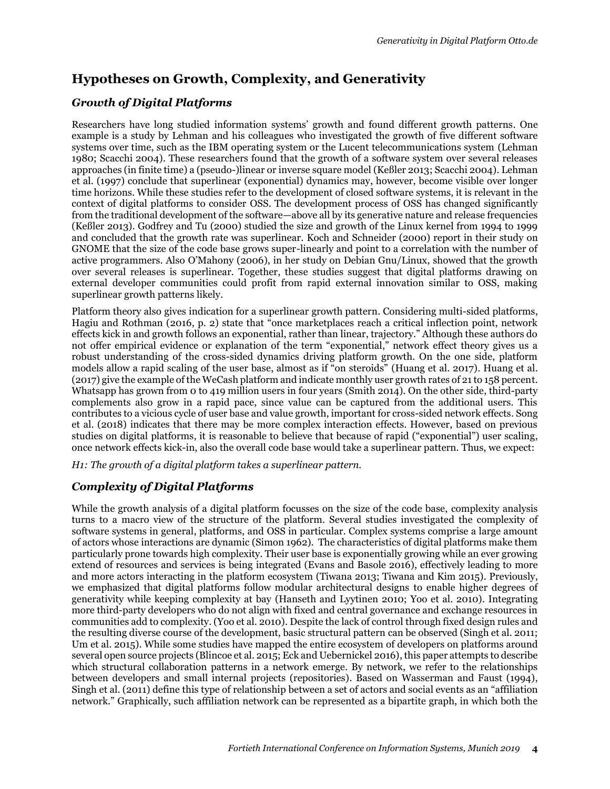# **Hypotheses on Growth, Complexity, and Generativity**

## *Growth of Digital Platforms*

Researchers have long studied information systems' growth and found different growth patterns. One example is a study by Lehman and his colleagues who investigated the growth of five different software systems over time, such as the IBM operating system or the Lucent telecommunications system (Lehman 1980; Scacchi 2004). These researchers found that the growth of a software system over several releases approaches (in finite time) a (pseudo-)linear or inverse square model (Keßler 2013; Scacchi 2004). Lehman et al. (1997) conclude that superlinear (exponential) dynamics may, however, become visible over longer time horizons. While these studies refer to the development of closed software systems, it is relevant in the context of digital platforms to consider OSS. The development process of OSS has changed significantly from the traditional development of the software—above all by its generative nature and release frequencies (Keßler 2013). Godfrey and Tu (2000) studied the size and growth of the Linux kernel from 1994 to 1999 and concluded that the growth rate was superlinear. Koch and Schneider (2000) report in their study on GNOME that the size of the code base grows super-linearly and point to a correlation with the number of active programmers. Also O'Mahony (2006), in her study on Debian Gnu/Linux, showed that the growth over several releases is superlinear. Together, these studies suggest that digital platforms drawing on external developer communities could profit from rapid external innovation similar to OSS, making superlinear growth patterns likely.

Platform theory also gives indication for a superlinear growth pattern. Considering multi-sided platforms, Hagiu and Rothman (2016, p. 2) state that "once marketplaces reach a critical inflection point, network effects kick in and growth follows an exponential, rather than linear, trajectory." Although these authors do not offer empirical evidence or explanation of the term "exponential," network effect theory gives us a robust understanding of the cross-sided dynamics driving platform growth. On the one side, platform models allow a rapid scaling of the user base, almost as if "on steroids" (Huang et al. 2017). Huang et al. (2017) give the example of the WeCash platform and indicate monthly user growth rates of 21 to 158 percent. Whatsapp has grown from 0 to 419 million users in four years (Smith 2014). On the other side, third-party complements also grow in a rapid pace, since value can be captured from the additional users. This contributes to a vicious cycle of user base and value growth, important for cross-sided network effects. Song et al. (2018) indicates that there may be more complex interaction effects. However, based on previous studies on digital platforms, it is reasonable to believe that because of rapid ("exponential") user scaling, once network effects kick-in, also the overall code base would take a superlinear pattern. Thus, we expect:

*H1: The growth of a digital platform takes a superlinear pattern.*

## *Complexity of Digital Platforms*

While the growth analysis of a digital platform focusses on the size of the code base, complexity analysis turns to a macro view of the structure of the platform. Several studies investigated the complexity of software systems in general, platforms, and OSS in particular. Complex systems comprise a large amount of actors whose interactions are dynamic (Simon 1962). The characteristics of digital platforms make them particularly prone towards high complexity. Their user base is exponentially growing while an ever growing extend of resources and services is being integrated (Evans and Basole 2016), effectively leading to more and more actors interacting in the platform ecosystem (Tiwana 2013; Tiwana and Kim 2015). Previously, we emphasized that digital platforms follow modular architectural designs to enable higher degrees of generativity while keeping complexity at bay (Hanseth and Lyytinen 2010; Yoo et al. 2010). Integrating more third-party developers who do not align with fixed and central governance and exchange resources in communities add to complexity. (Yoo et al. 2010). Despite the lack of control through fixed design rules and the resulting diverse course of the development, basic structural pattern can be observed (Singh et al. 2011; Um et al. 2015). While some studies have mapped the entire ecosystem of developers on platforms around several open source projects (Blincoe et al. 2015; Eck and Uebernickel 2016), this paper attempts to describe which structural collaboration patterns in a network emerge. By network, we refer to the relationships between developers and small internal projects (repositories). Based on Wasserman and Faust (1994), Singh et al. (2011) define this type of relationship between a set of actors and social events as an "affiliation network." Graphically, such affiliation network can be represented as a bipartite graph, in which both the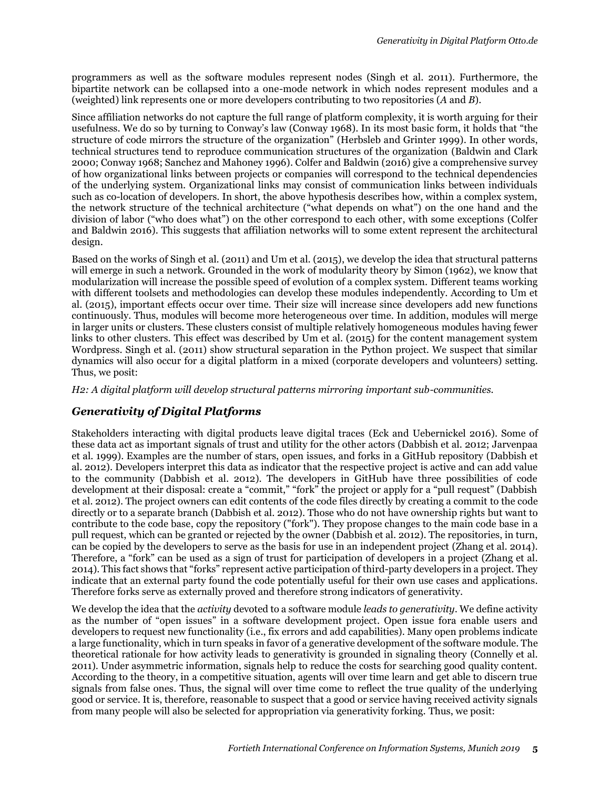programmers as well as the software modules represent nodes (Singh et al. 2011). Furthermore, the bipartite network can be collapsed into a one-mode network in which nodes represent modules and a (weighted) link represents one or more developers contributing to two repositories (*A* and *B*).

Since affiliation networks do not capture the full range of platform complexity, it is worth arguing for their usefulness. We do so by turning to Conway's law (Conway 1968). In its most basic form, it holds that "the structure of code mirrors the structure of the organization" (Herbsleb and Grinter 1999). In other words, technical structures tend to reproduce communication structures of the organization (Baldwin and Clark 2000; Conway 1968; Sanchez and Mahoney 1996). Colfer and Baldwin (2016) give a comprehensive survey of how organizational links between projects or companies will correspond to the technical dependencies of the underlying system. Organizational links may consist of communication links between individuals such as co-location of developers. In short, the above hypothesis describes how, within a complex system, the network structure of the technical architecture ("what depends on what") on the one hand and the division of labor ("who does what") on the other correspond to each other, with some exceptions (Colfer and Baldwin 2016). This suggests that affiliation networks will to some extent represent the architectural design.

Based on the works of Singh et al. (2011) and Um et al. (2015), we develop the idea that structural patterns will emerge in such a network. Grounded in the work of modularity theory by Simon (1962), we know that modularization will increase the possible speed of evolution of a complex system. Different teams working with different toolsets and methodologies can develop these modules independently. According to Um et al. (2015), important effects occur over time. Their size will increase since developers add new functions continuously. Thus, modules will become more heterogeneous over time. In addition, modules will merge in larger units or clusters. These clusters consist of multiple relatively homogeneous modules having fewer links to other clusters. This effect was described by Um et al. (2015) for the content management system Wordpress. Singh et al. (2011) show structural separation in the Python project. We suspect that similar dynamics will also occur for a digital platform in a mixed (corporate developers and volunteers) setting. Thus, we posit:

*H2: A digital platform will develop structural patterns mirroring important sub-communities.* 

## *Generativity of Digital Platforms*

Stakeholders interacting with digital products leave digital traces (Eck and Uebernickel 2016). Some of these data act as important signals of trust and utility for the other actors (Dabbish et al. 2012; Jarvenpaa et al. 1999). Examples are the number of stars, open issues, and forks in a GitHub repository (Dabbish et al. 2012). Developers interpret this data as indicator that the respective project is active and can add value to the community (Dabbish et al. 2012). The developers in GitHub have three possibilities of code development at their disposal: create a "commit," "fork" the project or apply for a "pull request" (Dabbish et al. 2012). The project owners can edit contents of the code files directly by creating a commit to the code directly or to a separate branch (Dabbish et al. 2012). Those who do not have ownership rights but want to contribute to the code base, copy the repository ("fork"). They propose changes to the main code base in a pull request, which can be granted or rejected by the owner (Dabbish et al. 2012). The repositories, in turn, can be copied by the developers to serve as the basis for use in an independent project (Zhang et al. 2014). Therefore, a "fork" can be used as a sign of trust for participation of developers in a project (Zhang et al. 2014). This fact shows that "forks" represent active participation of third-party developers in a project. They indicate that an external party found the code potentially useful for their own use cases and applications. Therefore forks serve as externally proved and therefore strong indicators of generativity.

We develop the idea that the *activity* devoted to a software module *leads to generativity*. We define activity as the number of "open issues" in a software development project. Open issue fora enable users and developers to request new functionality (i.e., fix errors and add capabilities). Many open problems indicate a large functionality, which in turn speaks in favor of a generative development of the software module. The theoretical rationale for how activity leads to generativity is grounded in signaling theory (Connelly et al. 2011). Under asymmetric information, signals help to reduce the costs for searching good quality content. According to the theory, in a competitive situation, agents will over time learn and get able to discern true signals from false ones. Thus, the signal will over time come to reflect the true quality of the underlying good or service. It is, therefore, reasonable to suspect that a good or service having received activity signals from many people will also be selected for appropriation via generativity forking. Thus, we posit: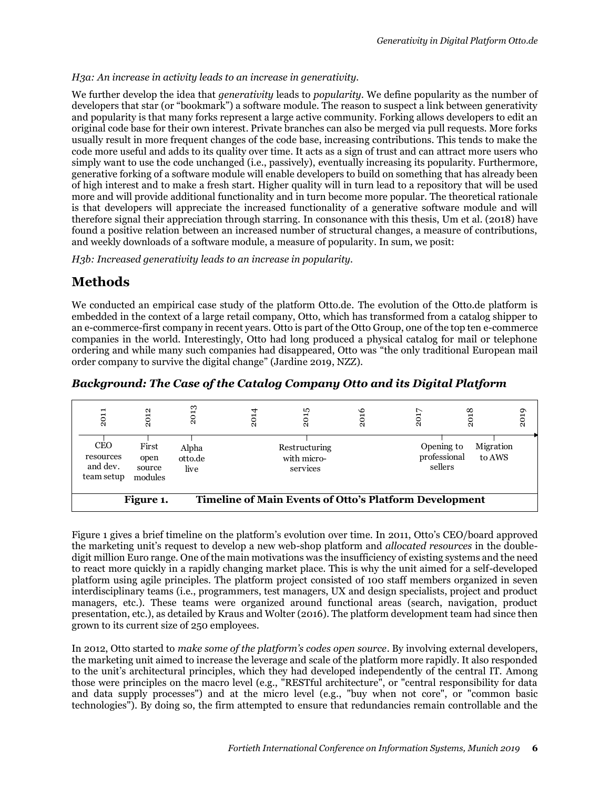#### *H3a: An increase in activity leads to an increase in generativity.*

We further develop the idea that *generativity* leads to *popularity*. We define popularity as the number of developers that star (or "bookmark") a software module. The reason to suspect a link between generativity and popularity is that many forks represent a large active community. Forking allows developers to edit an original code base for their own interest. Private branches can also be merged via pull requests. More forks usually result in more frequent changes of the code base, increasing contributions. This tends to make the code more useful and adds to its quality over time. It acts as a sign of trust and can attract more users who simply want to use the code unchanged (i.e., passively), eventually increasing its popularity. Furthermore, generative forking of a software module will enable developers to build on something that has already been of high interest and to make a fresh start. Higher quality will in turn lead to a repository that will be used more and will provide additional functionality and in turn become more popular. The theoretical rationale is that developers will appreciate the increased functionality of a generative software module and will therefore signal their appreciation through starring. In consonance with this thesis, Um et al. (2018) have found a positive relation between an increased number of structural changes, a measure of contributions, and weekly downloads of a software module, a measure of popularity. In sum, we posit:

*H3b: Increased generativity leads to an increase in popularity.*

## **Methods**

We conducted an empirical case study of the platform Otto.de. The evolution of the Otto.de platform is embedded in the context of a large retail company, Otto, which has transformed from a catalog shipper to an e-commerce-first company in recent years. Otto is part of the Otto Group, one of the top ten e-commerce companies in the world. Interestingly, Otto had long produced a physical catalog for mail or telephone ordering and while many such companies had disappeared, Otto was "the only traditional European mail order company to survive the digital change" (Jardine 2019, NZZ).

| Background: The Case of the Catalog Company Otto and its Digital Platform |  |  |
|---------------------------------------------------------------------------|--|--|
|---------------------------------------------------------------------------|--|--|

|                                                   |                                    |                          |      | $\sim$ $\sim$ $\sim$ $\sim$ $\sim$ $\sim$ $\sim$                                                                                                                                                                                                                                                                                                                                                                                                                                                                                                                                                                                                                                                                                                                                                                                                                                                 |      |                                       |      |                     |      |
|---------------------------------------------------|------------------------------------|--------------------------|------|--------------------------------------------------------------------------------------------------------------------------------------------------------------------------------------------------------------------------------------------------------------------------------------------------------------------------------------------------------------------------------------------------------------------------------------------------------------------------------------------------------------------------------------------------------------------------------------------------------------------------------------------------------------------------------------------------------------------------------------------------------------------------------------------------------------------------------------------------------------------------------------------------|------|---------------------------------------|------|---------------------|------|
| 2011                                              | 2012                               | 2013                     | 2014 | 2015                                                                                                                                                                                                                                                                                                                                                                                                                                                                                                                                                                                                                                                                                                                                                                                                                                                                                             | 2016 | 2017                                  | 2018 |                     | 2019 |
| <b>CEO</b><br>resources<br>and dev.<br>team setup | First<br>open<br>source<br>modules | Alpha<br>otto.de<br>live |      | Restructuring<br>with micro-<br>services                                                                                                                                                                                                                                                                                                                                                                                                                                                                                                                                                                                                                                                                                                                                                                                                                                                         |      | Opening to<br>professional<br>sellers |      | Migration<br>to AWS |      |
|                                                   | Figure 1.                          |                          |      | Timeline of Main Events of Otto's Platform Development                                                                                                                                                                                                                                                                                                                                                                                                                                                                                                                                                                                                                                                                                                                                                                                                                                           |      |                                       |      |                     |      |
| grown to its current size of 250 employees.       |                                    |                          |      | Figure 1 gives a brief timeline on the platform's evolution over time. In 2011, Otto's CEO/board approved<br>the marketing unit's request to develop a new web-shop platform and <i>allocated resources</i> in the double-<br>digit million Euro range. One of the main motivations was the insufficiency of existing systems and the need<br>to react more quickly in a rapidly changing market place. This is why the unit aimed for a self-developed<br>platform using agile principles. The platform project consisted of 100 staff members organized in seven<br>interdisciplinary teams (i.e., programmers, test managers, UX and design specialists, project and product<br>managers, etc.). These teams were organized around functional areas (search, navigation, product<br>presentation, etc.), as detailed by Kraus and Wolter (2016). The platform development team had since then |      |                                       |      |                     |      |
|                                                   |                                    |                          |      | In 2012, Otto started to make some of the platform's codes open source. By involving external developers,<br>the marketing unit aimed to increase the leverage and scale of the platform more rapidly. It also responded<br>to the unit's architectural principles, which they had developed independently of the central IT. Among<br>those were principles on the macro level (e.g., "RESTful architecture", or "central responsibility for data<br>and data supply processes") and at the micro level (e.g., "buy when not core", or "common basic<br>technologies"). By doing so, the firm attempted to ensure that redundancies remain controllable and the                                                                                                                                                                                                                                 |      |                                       |      |                     |      |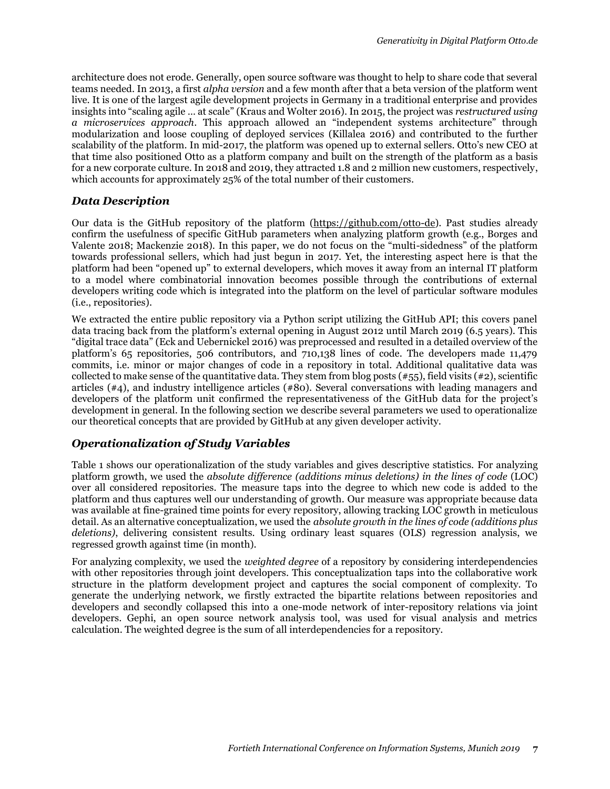architecture does not erode. Generally, open source software was thought to help to share code that several teams needed. In 2013, a first *alpha version* and a few month after that a beta version of the platform went live. It is one of the largest agile development projects in Germany in a traditional enterprise and provides insights into "scaling agile … at scale" (Kraus and Wolter 2016). In 2015, the project was *restructured using a microservices approach*. This approach allowed an "independent systems architecture" through modularization and loose coupling of deployed services (Killalea 2016) and contributed to the further scalability of the platform. In mid-2017, the platform was opened up to external sellers. Otto's new CEO at that time also positioned Otto as a platform company and built on the strength of the platform as a basis for a new corporate culture. In 2018 and 2019, they attracted 1.8 and 2 million new customers, respectively, which accounts for approximately 25% of the total number of their customers.

#### *Data Description*

Our data is the GitHub repository of the platform [\(https://github.com/otto-de\)](https://github.com/otto-de). Past studies already confirm the usefulness of specific GitHub parameters when analyzing platform growth (e.g., Borges and Valente 2018; Mackenzie 2018). In this paper, we do not focus on the "multi-sidedness" of the platform towards professional sellers, which had just begun in 2017. Yet, the interesting aspect here is that the platform had been "opened up" to external developers, which moves it away from an internal IT platform to a model where combinatorial innovation becomes possible through the contributions of external developers writing code which is integrated into the platform on the level of particular software modules (i.e., repositories).

We extracted the entire public repository via a Python script utilizing the GitHub API; this covers panel data tracing back from the platform's external opening in August 2012 until March 2019 (6.5 years). This "digital trace data" (Eck and Uebernickel 2016) was preprocessed and resulted in a detailed overview of the platform's 65 repositories, 506 contributors, and 710,138 lines of code. The developers made 11,479 commits, i.e. minor or major changes of code in a repository in total. Additional qualitative data was collected to make sense of the quantitative data. They stem from blog posts ( $\#55$ ), field visits ( $\#2$ ), scientific articles (#4), and industry intelligence articles (#80). Several conversations with leading managers and developers of the platform unit confirmed the representativeness of the GitHub data for the project's development in general. In the following section we describe several parameters we used to operationalize our theoretical concepts that are provided by GitHub at any given developer activity.

#### *Operationalization of Study Variables*

Table 1 shows our operationalization of the study variables and gives descriptive statistics. For analyzing platform growth, we used the *absolute difference (additions minus deletions) in the lines of code* (LOC) over all considered repositories. The measure taps into the degree to which new code is added to the platform and thus captures well our understanding of growth. Our measure was appropriate because data was available at fine-grained time points for every repository, allowing tracking LOC growth in meticulous detail. As an alternative conceptualization, we used the *absolute growth in the lines of code (additions plus deletions)*, delivering consistent results. Using ordinary least squares (OLS) regression analysis, we regressed growth against time (in month).

For analyzing complexity, we used the *weighted degree* of a repository by considering interdependencies with other repositories through joint developers. This conceptualization taps into the collaborative work structure in the platform development project and captures the social component of complexity. To generate the underlying network, we firstly extracted the bipartite relations between repositories and developers and secondly collapsed this into a one-mode network of inter-repository relations via joint developers. Gephi, an open source network analysis tool, was used for visual analysis and metrics calculation. The weighted degree is the sum of all interdependencies for a repository.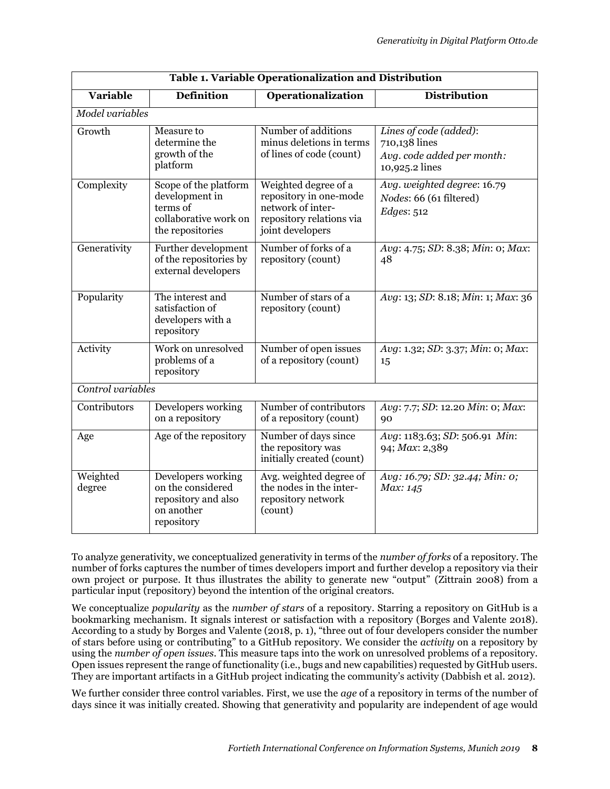| Table 1. Variable Operationalization and Distribution |                                                                                                  |                                                                                                                     |                                                                                         |  |  |  |
|-------------------------------------------------------|--------------------------------------------------------------------------------------------------|---------------------------------------------------------------------------------------------------------------------|-----------------------------------------------------------------------------------------|--|--|--|
| <b>Variable</b>                                       | <b>Definition</b>                                                                                | <b>Operationalization</b>                                                                                           | <b>Distribution</b>                                                                     |  |  |  |
| Model variables                                       |                                                                                                  |                                                                                                                     |                                                                                         |  |  |  |
| Growth                                                | Measure to<br>determine the<br>growth of the<br>platform                                         | Number of additions<br>minus deletions in terms<br>of lines of code (count)                                         | Lines of code (added):<br>710,138 lines<br>Avg. code added per month:<br>10,925.2 lines |  |  |  |
| Complexity                                            | Scope of the platform<br>development in<br>terms of<br>collaborative work on<br>the repositories | Weighted degree of a<br>repository in one-mode<br>network of inter-<br>repository relations via<br>joint developers | Avg. weighted degree: 16.79<br>Nodes: 66 (61 filtered)<br><i>Edges:</i> 512             |  |  |  |
| Generativity                                          | Further development<br>of the repositories by<br>external developers                             | Number of forks of a<br>repository (count)                                                                          | Avg: 4.75; SD: 8.38; Min: 0; Max:<br>48                                                 |  |  |  |
| Popularity                                            | The interest and<br>satisfaction of<br>developers with a<br>repository                           | Number of stars of a<br>repository (count)                                                                          | Avg: 13; SD: 8.18; Min: 1; Max: 36                                                      |  |  |  |
| Activity                                              | Work on unresolved<br>problems of a<br>repository                                                | Number of open issues<br>of a repository (count)                                                                    | Avg: 1.32; SD: 3.37; Min: 0; Max:<br>15                                                 |  |  |  |
| Control variables                                     |                                                                                                  |                                                                                                                     |                                                                                         |  |  |  |
| Contributors                                          | Developers working<br>on a repository                                                            | Number of contributors<br>of a repository (count)                                                                   | Avg: 7.7; SD: 12.20 Min: 0; Max:<br>90                                                  |  |  |  |
| Age                                                   | Age of the repository                                                                            | Number of days since<br>the repository was<br>initially created (count)                                             | Avg: 1183.63; SD: 506.91 Min:<br>94; Max: 2,389                                         |  |  |  |
| Weighted<br>degree                                    | Developers working<br>on the considered<br>repository and also<br>on another<br>repository       | Avg. weighted degree of<br>the nodes in the inter-<br>repository network<br>(count)                                 | Avg: 16.79; SD: 32.44; Min: 0;<br>Max: 145                                              |  |  |  |

To analyze generativity, we conceptualized generativity in terms of the *number of forks* of a repository. The number of forks captures the number of times developers import and further develop a repository via their own project or purpose. It thus illustrates the ability to generate new "output" (Zittrain 2008) from a particular input (repository) beyond the intention of the original creators.

We conceptualize *popularity* as the *number of stars* of a repository. Starring a repository on GitHub is a bookmarking mechanism. It signals interest or satisfaction with a repository (Borges and Valente 2018). According to a study by Borges and Valente (2018, p. 1), "three out of four developers consider the number of stars before using or contributing" to a GitHub repository. We consider the *activity* on a repository by using the *number of open issues*. This measure taps into the work on unresolved problems of a repository. Open issues represent the range of functionality (i.e., bugs and new capabilities) requested by GitHub users. They are important artifacts in a GitHub project indicating the community's activity (Dabbish et al. 2012).

We further consider three control variables. First, we use the *age* of a repository in terms of the number of days since it was initially created. Showing that generativity and popularity are independent of age would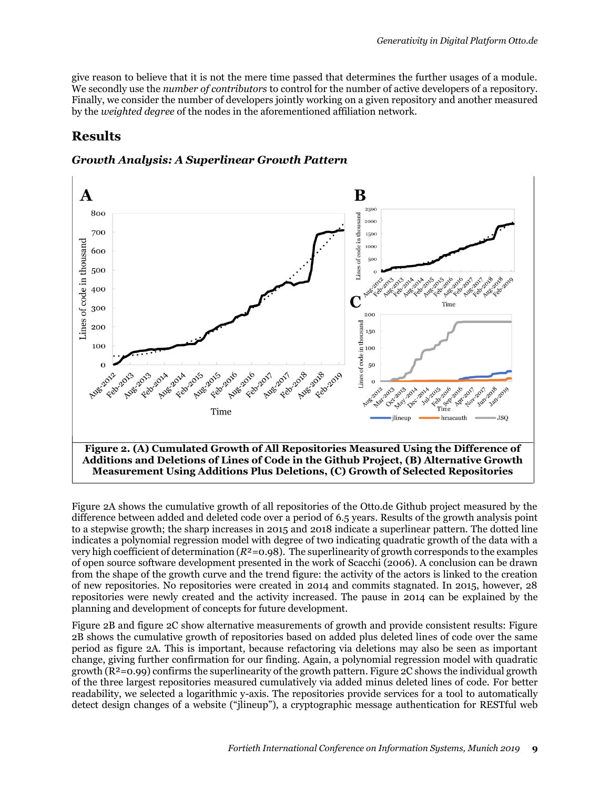give reason to believe that it is not the mere time passed that determines the further usages of a module. We secondly use the *number of contributors* to control for the number of active developers of a repository. Finally, we consider the number of developers jointly working on a given repository and another measured by the *weighted degree* of the nodes in the aforementioned affiliation network.

# **Results**

#### *Growth Analysis: A Superlinear Growth Pattern*



Figure 2A shows the cumulative growth of all repositories of the Otto.de Github project measured by the difference between added and deleted code over a period of 6.5 years. Results of the growth analysis point to a stepwise growth; the sharp increases in 2015 and 2018 indicate a superlinear pattern. The dotted line indicates a polynomial regression model with degree of tw0 indicating quadratic growth of the data with a very high coefficient of determination (*R*²=0.98). The superlinearity of growth corresponds to the examples of open source software development presented in the work of Scacchi (2006). A conclusion can be drawn from the shape of the growth curve and the trend figure: the activity of the actors is linked to the creation of new repositories. No repositories were created in 2014 and commits stagnated. In 2015, however, 28 repositories were newly created and the activity increased. The pause in 2014 can be explained by the planning and development of concepts for future development.

Figure 2B and figure 2C show alternative measurements of growth and provide consistent results: Figure 2B shows the cumulative growth of repositories based on added plus deleted lines of code over the same period as figure 2A. This is important, because refactoring via deletions may also be seen as important change, giving further confirmation for our finding. Again, a polynomial regression model with quadratic growth  $(R^2=0.99)$  confirms the superlinearity of the growth pattern. Figure 2C shows the individual growth of the three largest repositories measured cumulatively via added minus deleted lines of code. For better readability, we selected a logarithmic y-axis. The repositories provide services for a tool to automatically detect design changes of a website ("jlineup"), a cryptographic message authentication for RESTful web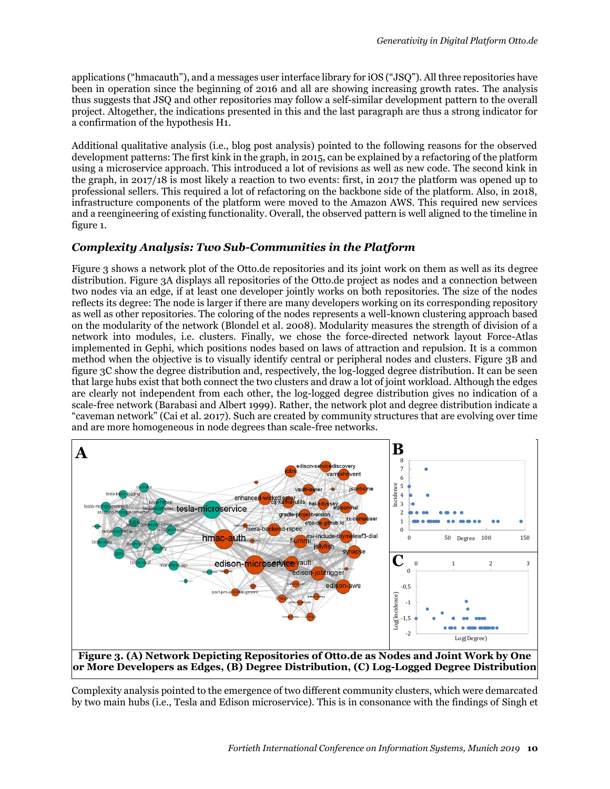applications ("hmacauth"), and a messages user interface library for iOS ("JSQ"). All three repositories have been in operation since the beginning of 2016 and all are showing increasing growth rates. The analysis thus suggests that JSQ and other repositories may follow a self-similar development pattern to the overall project. Altogether, the indications presented in this and the last paragraph are thus a strong indicator for a confirmation of the hypothesis H1.

Additional qualitative analysis (i.e., blog post analysis) pointed to the following reasons for the observed development patterns: The first kink in the graph, in 2015, can be explained by a refactoring of the platform using a microservice approach. This introduced a lot of revisions as well as new code. The second kink in the graph, in 2017/18 is most likely a reaction to two events: first, in 2017 the platform was opened up to professional sellers. This required a lot of refactoring on the backbone side of the platform. Also, in 2018, infrastructure components of the platform were moved to the Amazon AWS. This required new services and a reengineering of existing functionality. Overall, the observed pattern is well aligned to the timeline in figure 1.

#### *Complexity Analysis: Two Sub-Communities in the Platform*

Figure 3 shows a network plot of the Otto.de repositories and its joint work on them as well as its degree distribution. Figure 3A displays all repositories of the Otto.de project as nodes and a connection between two nodes via an edge, if at least one developer jointly works on both repositories. The size of the nodes reflects its degree: The node is larger if there are many developers working on its corresponding repository as well as other repositories. The coloring of the nodes represents a well-known clustering approach based on the modularity of the network (Blondel et al. 2008). Modularity measures the strength of division of a network into modules, i.e. clusters. Finally, we chose the force-directed network layout Force-Atlas implemented in Gephi, which positions nodes based on laws of attraction and repulsion. It is a common method when the objective is to visually identify central or peripheral nodes and clusters. Figure 3B and figure 3C show the degree distribution and, respectively, the log-logged degree distribution. It can be seen that large hubs exist that both connect the two clusters and draw a lot of joint workload. Although the edges are clearly not independent from each other, the log-logged degree distribution gives no indication of a scale-free network (Barabasi and Albert 1999). Rather, the network plot and degree distribution indicate a "caveman network" (Cai et al. 2017). Such are created by community structures that are evolving over time and are more homogeneous in node degrees than scale-free networks.



Complexity analysis pointed to the emergence of two different community clusters, which were demarcated by two main hubs (i.e., Tesla and Edison microservice). This is in consonance with the findings of Singh et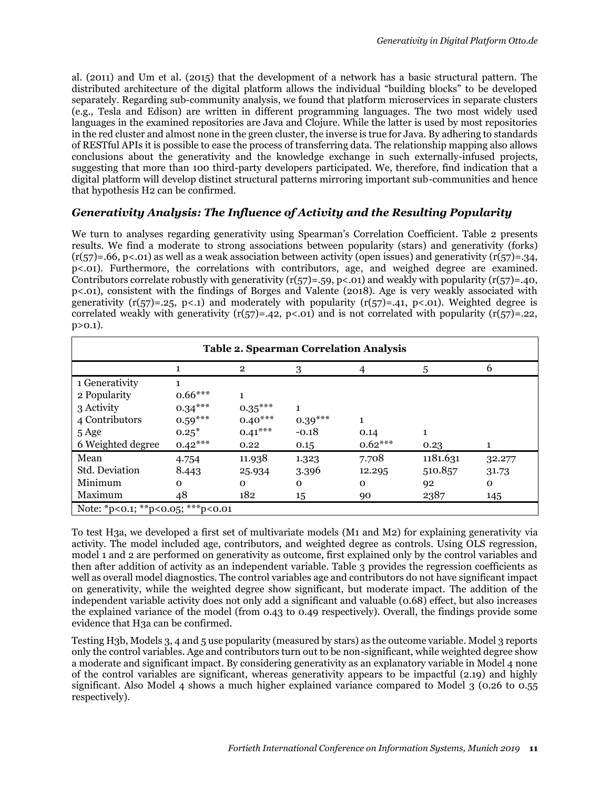al. (2011) and Um et al. (2015) that the development of a network has a basic structural pattern. The distributed architecture of the digital platform allows the individual "building blocks" to be developed separately. Regarding sub-community analysis, we found that platform microservices in separate clusters (e.g., Tesla and Edison) are written in different programming languages. The two most widely used languages in the examined repositories are Java and Clojure. While the latter is used by most repositories in the red cluster and almost none in the green cluster, the inverse is true for Java. By adhering to standards of RESTful APIs it is possible to ease the process of transferring data. The relationship mapping also allows conclusions about the generativity and the knowledge exchange in such externally-infused projects, suggesting that more than 100 third-party developers participated. We, therefore, find indication that a digital platform will develop distinct structural patterns mirroring important sub-communities and hence that hypothesis H2 can be confirmed.

#### *Generativity Analysis: The Influence of Activity and the Resulting Popularity*

We turn to analyses regarding generativity using Spearman's Correlation Coefficient. Table 2 presents results. We find a moderate to strong associations between popularity (stars) and generativity (forks)  $(r(57)=.66, p<.01)$  as well as a weak association between activity (open issues) and generativity  $(r(57)=.34, p$ p<.01). Furthermore, the correlations with contributors, age, and weighed degree are examined. Contributors correlate robustly with generativity ( $r(57)=.59$ ,  $p<.01$ ) and weakly with popularity ( $r(57)=.40$ , p<.01), consistent with the findings of Borges and Valente (2018). Age is very weakly associated with generativity  $(r(57)=.25, p<.1)$  and moderately with popularity  $(r(57)=.41, p<.01)$ . Weighted degree is correlated weakly with generativity  $(r(57)=.42, p<.01)$  and is not correlated with popularity  $(r(57)=.22, p<.01)$  $p > 0.1$ ).

| <b>Table 2. Spearman Correlation Analysis</b> |           |              |              |           |          |          |
|-----------------------------------------------|-----------|--------------|--------------|-----------|----------|----------|
|                                               |           | $\mathbf{2}$ | 3            | 4         | 5        | 6        |
| 1 Generativity                                |           |              |              |           |          |          |
| 2 Popularity                                  | $0.66***$ |              |              |           |          |          |
| 3 Activity                                    | $0.34***$ | $0.35***$    |              |           |          |          |
| 4 Contributors                                | $0.59***$ | $0.40***$    | $0.39***$    |           |          |          |
| 5 Age                                         | $0.25*$   | $0.41***$    | $-0.18$      | 0.14      | 1        |          |
| 6 Weighted degree                             | $0.42***$ | 0.22         | 0.15         | $0.62***$ | 0.23     |          |
| Mean                                          | 4.754     | 11.938       | 1.323        | 7.708     | 1181.631 | 32.277   |
| Std. Deviation                                | 8.443     | 25.934       | 3.396        | 12.295    | 510.857  | 31.73    |
| Minimum                                       | $\Omega$  | $\Omega$     | $\mathbf{O}$ | $\Omega$  | 92       | $\Omega$ |
| Maximum                                       | 48        | 182          | 15           | 90        | 2387     | 145      |
| Note: *p<0.1; **p<0.05; ***p<0.01             |           |              |              |           |          |          |

To test H3a, we developed a first set of multivariate models (M1 and M2) for explaining generativity via activity. The model included age, contributors, and weighted degree as controls. Using OLS regression, model 1 and 2 are performed on generativity as outcome, first explained only by the control variables and then after addition of activity as an independent variable. Table 3 provides the regression coefficients as well as overall model diagnostics. The control variables age and contributors do not have significant impact on generativity, while the weighted degree show significant, but moderate impact. The addition of the independent variable activity does not only add a significant and valuable (0.68) effect, but also increases the explained variance of the model (from 0.43 to 0.49 respectively). Overall, the findings provide some evidence that H3a can be confirmed.

Testing H3b, Models 3, 4 and 5 use popularity (measured by stars) as the outcome variable. Model 3 reports only the control variables. Age and contributors turn out to be non-significant, while weighted degree show a moderate and significant impact. By considering generativity as an explanatory variable in Model 4 none of the control variables are significant, whereas generativity appears to be impactful (2.19) and highly significant. Also Model 4 shows a much higher explained variance compared to Model 3 (0.26 to 0.55 respectively).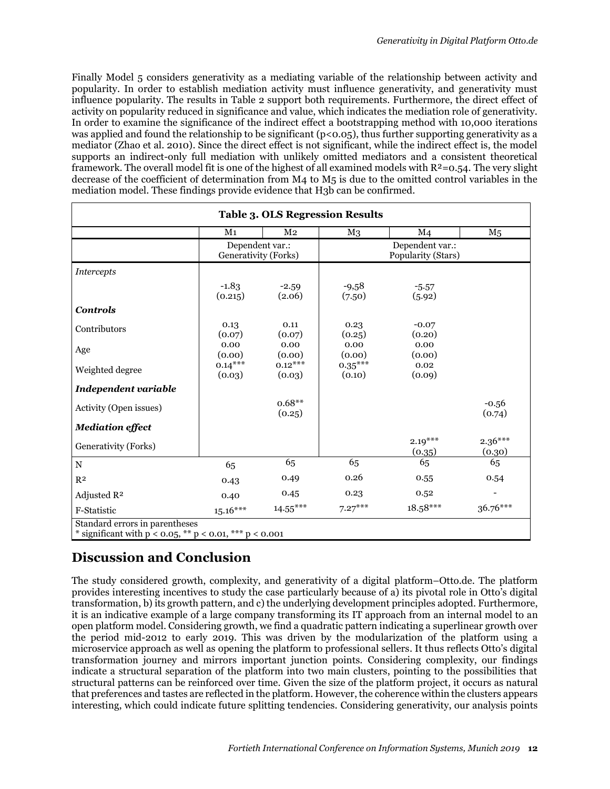Finally Model 5 considers generativity as a mediating variable of the relationship between activity and popularity. In order to establish mediation activity must influence generativity, and generativity must influence popularity. The results in Table 2 support both requirements. Furthermore, the direct effect of activity on popularity reduced in significance and value, which indicates the mediation role of generativity. In order to examine the significance of the indirect effect a bootstrapping method with 10,000 iterations was applied and found the relationship to be significant (p<0.05), thus further supporting generativity as a mediator (Zhao et al. 2010). Since the direct effect is not significant, while the indirect effect is, the model supports an indirect-only full mediation with unlikely omitted mediators and a consistent theoretical framework. The overall model fit is one of the highest of all examined models with  $R^2=0.54$ . The very slight decrease of the coefficient of determination from M4 to M5 is due to the omitted control variables in the mediation model. These findings provide evidence that H3b can be confirmed.

|                             | M <sub>1</sub>                          | M <sub>2</sub>      | $_{\rm M3}$                           | M <sub>4</sub>      | M <sub>5</sub>      |
|-----------------------------|-----------------------------------------|---------------------|---------------------------------------|---------------------|---------------------|
|                             | Dependent var.:<br>Generativity (Forks) |                     | Dependent var.:<br>Popularity (Stars) |                     |                     |
| <i>Intercepts</i>           |                                         |                     |                                       |                     |                     |
|                             | $-1.83$<br>(0.215)                      | $-2.59$<br>(2.06)   | $-9,58$<br>(7.50)                     | $-5.57$<br>(5.92)   |                     |
| <b>Controls</b>             |                                         |                     |                                       |                     |                     |
| Contributors                | 0.13<br>(0.07)                          | 0.11<br>(0.07)      | 0.23<br>(0.25)                        | $-0.07$<br>(0.20)   |                     |
| Age                         | 0.00<br>(0.00)                          | 0.00<br>(0.00)      | 0.00<br>(0.00)                        | 0.00<br>(0.00)      |                     |
| Weighted degree             | $0.14***$<br>(0.03)                     | $0.12***$<br>(0.03) | $0.35***$<br>(0.10)                   | 0.02<br>(0.09)      |                     |
| <b>Independent variable</b> |                                         |                     |                                       |                     |                     |
| Activity (Open issues)      |                                         | $0.68**$<br>(0.25)  |                                       |                     | $-0.56$<br>(0.74)   |
| <b>Mediation effect</b>     |                                         |                     |                                       |                     |                     |
| Generativity (Forks)        |                                         |                     |                                       | $2.19***$<br>(0.35) | $2.36***$<br>(0.30) |
| $\mathbf N$                 | 65                                      | 65                  | 65                                    | 65                  | 65                  |
| R <sup>2</sup>              | 0.43                                    | 0.49                | 0.26                                  | 0.55                | 0.54                |
| Adjusted R <sup>2</sup>     | 0.40                                    | 0.45                | 0.23                                  | 0.52                |                     |
| F-Statistic                 | $15.16***$                              | $14.55***$          | $7.27***$                             | $18.58***$          | $36.76***$          |

# **Discussion and Conclusion**

The study considered growth, complexity, and generativity of a digital platform–Otto.de. The platform provides interesting incentives to study the case particularly because of a) its pivotal role in Otto's digital transformation, b) its growth pattern, and c) the underlying development principles adopted. Furthermore, it is an indicative example of a large company transforming its IT approach from an internal model to an open platform model. Considering growth, we find a quadratic pattern indicating a superlinear growth over the period mid-2012 to early 2019. This was driven by the modularization of the platform using a microservice approach as well as opening the platform to professional sellers. It thus reflects Otto's digital transformation journey and mirrors important junction points. Considering complexity, our findings indicate a structural separation of the platform into two main clusters, pointing to the possibilities that structural patterns can be reinforced over time. Given the size of the platform project, it occurs as natural that preferences and tastes are reflected in the platform. However, the coherence within the clusters appears interesting, which could indicate future splitting tendencies. Considering generativity, our analysis points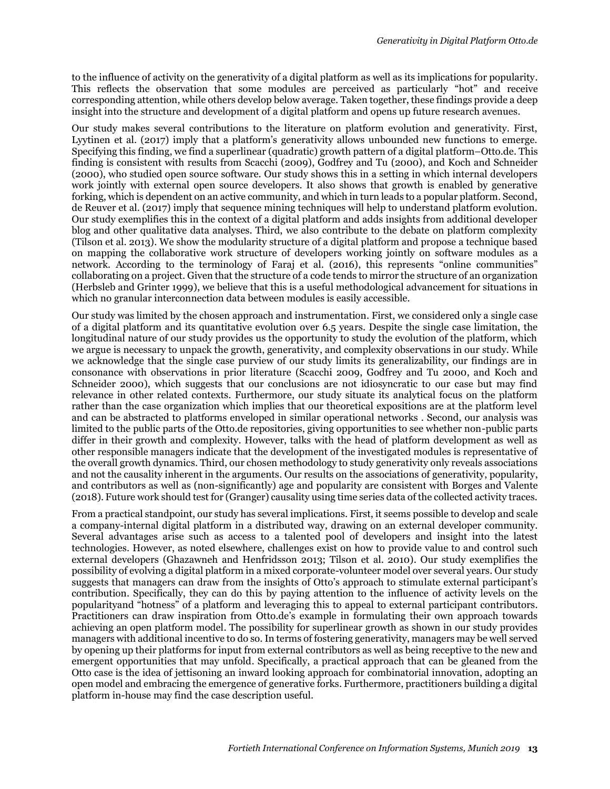to the influence of activity on the generativity of a digital platform as well as its implications for popularity. This reflects the observation that some modules are perceived as particularly "hot" and receive corresponding attention, while others develop below average. Taken together, these findings provide a deep insight into the structure and development of a digital platform and opens up future research avenues.

Our study makes several contributions to the literature on platform evolution and generativity. First, Lyytinen et al. (2017) imply that a platform's generativity allows unbounded new functions to emerge. Specifying this finding, we find a superlinear (quadratic) growth pattern of a digital platform–Otto.de. This finding is consistent with results from Scacchi (2009), Godfrey and Tu (2000), and Koch and Schneider (2000), who studied open source software. Our study shows this in a setting in which internal developers work jointly with external open source developers. It also shows that growth is enabled by generative forking, which is dependent on an active community, and which in turn leads to a popular platform. Second, de Reuver et al. (2017) imply that sequence mining techniques will help to understand platform evolution. Our study exemplifies this in the context of a digital platform and adds insights from additional developer blog and other qualitative data analyses. Third, we also contribute to the debate on platform complexity (Tilson et al. 2013). We show the modularity structure of a digital platform and propose a technique based on mapping the collaborative work structure of developers working jointly on software modules as a network. According to the terminology of Faraj et al. (2016), this represents "online communities" collaborating on a project. Given that the structure of a code tends to mirror the structure of an organization (Herbsleb and Grinter 1999), we believe that this is a useful methodological advancement for situations in which no granular interconnection data between modules is easily accessible.

Our study was limited by the chosen approach and instrumentation. First, we considered only a single case of a digital platform and its quantitative evolution over 6.5 years. Despite the single case limitation, the longitudinal nature of our study provides us the opportunity to study the evolution of the platform, which we argue is necessary to unpack the growth, generativity, and complexity observations in our study. While we acknowledge that the single case purview of our study limits its generalizability, our findings are in consonance with observations in prior literature (Scacchi 2009, Godfrey and Tu 2000, and Koch and Schneider 2000), which suggests that our conclusions are not idiosyncratic to our case but may find relevance in other related contexts. Furthermore, our study situate its analytical focus on the platform rather than the case organization which implies that our theoretical expositions are at the platform level and can be abstracted to platforms enveloped in similar operational networks . Second, our analysis was limited to the public parts of the Otto.de repositories, giving opportunities to see whether non-public parts differ in their growth and complexity. However, talks with the head of platform development as well as other responsible managers indicate that the development of the investigated modules is representative of the overall growth dynamics. Third, our chosen methodology to study generativity only reveals associations and not the causality inherent in the arguments. Our results on the associations of generativity, popularity, and contributors as well as (non-significantly) age and popularity are consistent with Borges and Valente (2018). Future work should test for (Granger) causality using time series data of the collected activity traces.

From a practical standpoint, our study has several implications. First, it seems possible to develop and scale a company-internal digital platform in a distributed way, drawing on an external developer community. Several advantages arise such as access to a talented pool of developers and insight into the latest technologies. However, as noted elsewhere, challenges exist on how to provide value to and control such external developers (Ghazawneh and Henfridsson 2013; Tilson et al. 2010). Our study exemplifies the possibility of evolving a digital platform in a mixed corporate-volunteer model over several years. Our study suggests that managers can draw from the insights of Otto's approach to stimulate external participant's contribution. Specifically, they can do this by paying attention to the influence of activity levels on the popularityand "hotness" of a platform and leveraging this to appeal to external participant contributors. Practitioners can draw inspiration from Otto.de's example in formulating their own approach towards achieving an open platform model. The possibility for superlinear growth as shown in our study provides managers with additional incentive to do so. In terms of fostering generativity, managers may be well served by opening up their platforms for input from external contributors as well as being receptive to the new and emergent opportunities that may unfold. Specifically, a practical approach that can be gleaned from the Otto case is the idea of jettisoning an inward looking approach for combinatorial innovation, adopting an open model and embracing the emergence of generative forks. Furthermore, practitioners building a digital platform in-house may find the case description useful.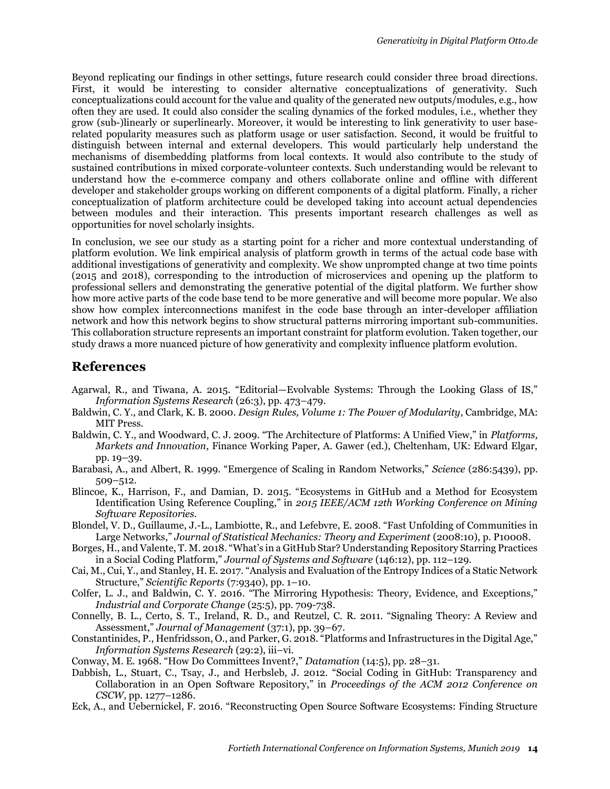Beyond replicating our findings in other settings, future research could consider three broad directions. First, it would be interesting to consider alternative conceptualizations of generativity. Such conceptualizations could account for the value and quality of the generated new outputs/modules, e.g., how often they are used. It could also consider the scaling dynamics of the forked modules, i.e., whether they grow (sub-)linearly or superlinearly. Moreover, it would be interesting to link generativity to user baserelated popularity measures such as platform usage or user satisfaction. Second, it would be fruitful to distinguish between internal and external developers. This would particularly help understand the mechanisms of disembedding platforms from local contexts. It would also contribute to the study of sustained contributions in mixed corporate-volunteer contexts. Such understanding would be relevant to understand how the e-commerce company and others collaborate online and offline with different developer and stakeholder groups working on different components of a digital platform. Finally, a richer conceptualization of platform architecture could be developed taking into account actual dependencies between modules and their interaction. This presents important research challenges as well as opportunities for novel scholarly insights.

In conclusion, we see our study as a starting point for a richer and more contextual understanding of platform evolution. We link empirical analysis of platform growth in terms of the actual code base with additional investigations of generativity and complexity. We show unprompted change at two time points (2015 and 2018), corresponding to the introduction of microservices and opening up the platform to professional sellers and demonstrating the generative potential of the digital platform. We further show how more active parts of the code base tend to be more generative and will become more popular. We also show how complex interconnections manifest in the code base through an inter-developer affiliation network and how this network begins to show structural patterns mirroring important sub-communities. This collaboration structure represents an important constraint for platform evolution. Taken together, our study draws a more nuanced picture of how generativity and complexity influence platform evolution.

#### **References**

- Agarwal, R., and Tiwana, A. 2015. "Editorial—Evolvable Systems: Through the Looking Glass of IS," *Information Systems Research* (26:3), pp. 473–479.
- Baldwin, C. Y., and Clark, K. B. 2000. *Design Rules, Volume 1: The Power of Modularity*, Cambridge, MA: MIT Press.
- Baldwin, C. Y., and Woodward, C. J. 2009. "The Architecture of Platforms: A Unified View," in *Platforms, Markets and Innovation*, Finance Working Paper, A. Gawer (ed.), Cheltenham, UK: Edward Elgar, pp. 19–39.
- Barabasi, A., and Albert, R. 1999. "Emergence of Scaling in Random Networks," *Science* (286:5439), pp. 509–512.
- Blincoe, K., Harrison, F., and Damian, D. 2015. "Ecosystems in GitHub and a Method for Ecosystem Identification Using Reference Coupling," in *2015 IEEE/ACM 12th Working Conference on Mining Software Repositories*.
- Blondel, V. D., Guillaume, J.-L., Lambiotte, R., and Lefebvre, E. 2008. "Fast Unfolding of Communities in Large Networks," *Journal of Statistical Mechanics: Theory and Experiment* (2008:10), p. P10008.
- Borges, H., and Valente, T. M. 2018. "What's in a GitHub Star? Understanding Repository Starring Practices in a Social Coding Platform," *Journal of Systems and Software* (146:12), pp. 112–129.
- Cai, M., Cui, Y., and Stanley, H. E. 2017. "Analysis and Evaluation of the Entropy Indices of a Static Network Structure," *Scientific Reports* (7:9340), pp. 1–10.
- Colfer, L. J., and Baldwin, C. Y. 2016. "The Mirroring Hypothesis: Theory, Evidence, and Exceptions," *Industrial and Corporate Change* (25:5), pp. 709-738.
- Connelly, B. L., Certo, S. T., Ireland, R. D., and Reutzel, C. R. 2011. "Signaling Theory: A Review and Assessment," *Journal of Management* (37:1), pp. 39–67.
- Constantinides, P., Henfridsson, O., and Parker, G. 2018. "Platforms and Infrastructures in the Digital Age," *Information Systems Research* (29:2), iii–vi.
- Conway, M. E. 1968. "How Do Committees Invent?," *Datamation* (14:5), pp. 28–31.
- Dabbish, L., Stuart, C., Tsay, J., and Herbsleb, J. 2012. "Social Coding in GitHub: Transparency and Collaboration in an Open Software Repository," in *Proceedings of the ACM 2012 Conference on CSCW*, pp. 1277–1286.
- Eck, A., and Uebernickel, F. 2016. "Reconstructing Open Source Software Ecosystems: Finding Structure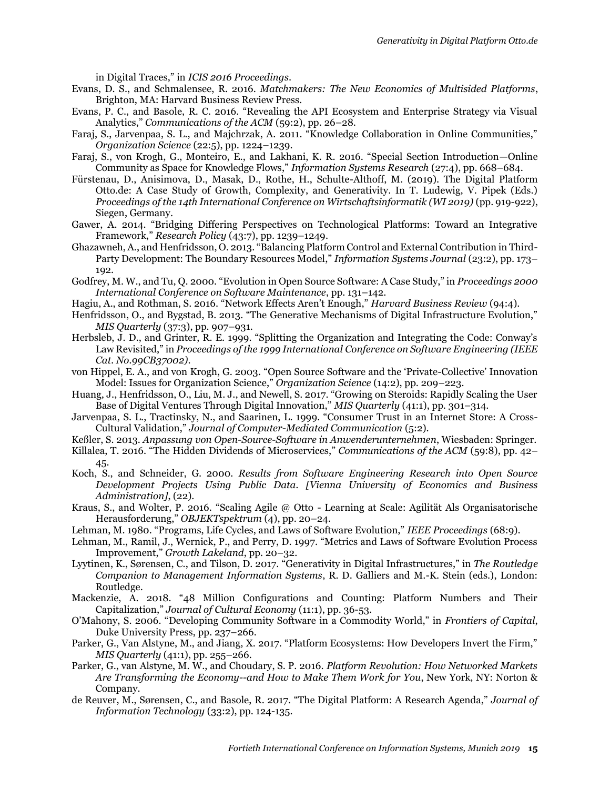in Digital Traces," in *ICIS 2016 Proceedings*.

- Evans, D. S., and Schmalensee, R. 2016. *Matchmakers: The New Economics of Multisided Platforms*, Brighton, MA: Harvard Business Review Press.
- Evans, P. C., and Basole, R. C. 2016. "Revealing the API Ecosystem and Enterprise Strategy via Visual Analytics," *Communications of the ACM* (59:2), pp. 26–28.
- Faraj, S., Jarvenpaa, S. L., and Majchrzak, A. 2011. "Knowledge Collaboration in Online Communities," *Organization Science* (22:5), pp. 1224–1239.
- Faraj, S., von Krogh, G., Monteiro, E., and Lakhani, K. R. 2016. "Special Section Introduction—Online Community as Space for Knowledge Flows," *Information Systems Research* (27:4), pp. 668–684.
- Fürstenau, D., Anisimova, D., Masak, D., Rothe, H., Schulte-Althoff, M. (2019). The Digital Platform Otto.de: A Case Study of Growth, Complexity, and Generativity. In T. Ludewig, V. Pipek (Eds.) *Proceedings of the 14th International Conference on Wirtschaftsinformatik (WI 2019)* (pp. 919-922), Siegen, Germany.
- Gawer, A. 2014. "Bridging Differing Perspectives on Technological Platforms: Toward an Integrative Framework," *Research Policy* (43:7), pp. 1239–1249.
- Ghazawneh, A., and Henfridsson, O. 2013. "Balancing Platform Control and External Contribution in Third-Party Development: The Boundary Resources Model," *Information Systems Journal* (23:2), pp. 173– 192.
- Godfrey, M. W., and Tu, Q. 2000. "Evolution in Open Source Software: A Case Study," in *Proceedings 2000 International Conference on Software Maintenance*, pp. 131–142.
- Hagiu, A., and Rothman, S. 2016. "Network Effects Aren't Enough," *Harvard Business Review* (94:4).
- Henfridsson, O., and Bygstad, B. 2013. "The Generative Mechanisms of Digital Infrastructure Evolution," *MIS Quarterly* (37:3), pp. 907–931.
- Herbsleb, J. D., and Grinter, R. E. 1999. "Splitting the Organization and Integrating the Code: Conway's Law Revisited," in *Proceedings of the 1999 International Conference on Software Engineering (IEEE Cat. No.99CB37002)*.
- von Hippel, E. A., and von Krogh, G. 2003. "Open Source Software and the 'Private-Collective' Innovation Model: Issues for Organization Science," *Organization Science* (14:2), pp. 209–223.
- Huang, J., Henfridsson, O., Liu, M. J., and Newell, S. 2017. "Growing on Steroids: Rapidly Scaling the User Base of Digital Ventures Through Digital Innovation," *MIS Quarterly* (41:1), pp. 301–314.
- Jarvenpaa, S. L., Tractinsky, N., and Saarinen, L. 1999. "Consumer Trust in an Internet Store: A Cross-Cultural Validation," *Journal of Computer-Mediated Communication* (5:2).
- Keßler, S. 2013. *Anpassung von Open-Source-Software in Anwenderunternehmen*, Wiesbaden: Springer.
- Killalea, T. 2016. "The Hidden Dividends of Microservices," *Communications of the ACM* (59:8), pp. 42– 45.
- Koch, S., and Schneider, G. 2000. *Results from Software Engineering Research into Open Source Development Projects Using Public Data. [Vienna University of Economics and Business Administration]*, (22).
- Kraus, S., and Wolter, P. 2016. "Scaling Agile @ Otto Learning at Scale: Agilität Als Organisatorische Herausforderung," *OBJEKTspektrum* (4), pp. 20–24.
- Lehman, M. 1980. "Programs, Life Cycles, and Laws of Software Evolution," *IEEE Proceedings* (68:9).
- Lehman, M., Ramil, J., Wernick, P., and Perry, D. 1997. "Metrics and Laws of Software Evolution Process Improvement," *Growth Lakeland*, pp. 20–32.
- Lyytinen, K., Sørensen, C., and Tilson, D. 2017. "Generativity in Digital Infrastructures," in *The Routledge Companion to Management Information Systems*, R. D. Galliers and M.-K. Stein (eds.), London: Routledge.
- Mackenzie, A. 2018. "48 Million Configurations and Counting: Platform Numbers and Their Capitalization," *Journal of Cultural Economy* (11:1), pp. 36-53.
- O'Mahony, S. 2006. "Developing Community Software in a Commodity World," in *Frontiers of Capital*, Duke University Press, pp. 237–266.
- Parker, G., Van Alstyne, M., and Jiang, X. 2017. "Platform Ecosystems: How Developers Invert the Firm," *MIS Quarterly* (41:1), pp. 255–266.
- Parker, G., van Alstyne, M. W., and Choudary, S. P. 2016. *Platform Revolution: How Networked Markets Are Transforming the Economy--and How to Make Them Work for You*, New York, NY: Norton & Company.
- de Reuver, M., Sørensen, C., and Basole, R. 2017. "The Digital Platform: A Research Agenda," *Journal of Information Technology* (33:2), pp. 124-135.